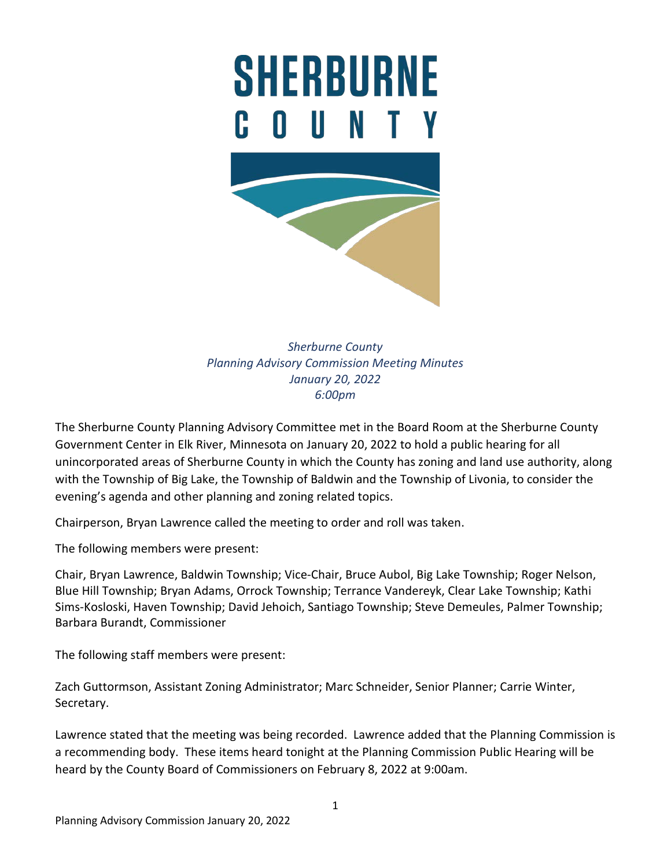# **SHERBURNE**  $\mathbf{u}$ H.



*Sherburne County Planning Advisory Commission Meeting Minutes January 20, 2022 6:00pm*

The Sherburne County Planning Advisory Committee met in the Board Room at the Sherburne County Government Center in Elk River, Minnesota on January 20, 2022 to hold a public hearing for all unincorporated areas of Sherburne County in which the County has zoning and land use authority, along with the Township of Big Lake, the Township of Baldwin and the Township of Livonia, to consider the evening's agenda and other planning and zoning related topics.

Chairperson, Bryan Lawrence called the meeting to order and roll was taken.

The following members were present:

Chair, Bryan Lawrence, Baldwin Township; Vice-Chair, Bruce Aubol, Big Lake Township; Roger Nelson, Blue Hill Township; Bryan Adams, Orrock Township; Terrance Vandereyk, Clear Lake Township; Kathi Sims-Kosloski, Haven Township; David Jehoich, Santiago Township; Steve Demeules, Palmer Township; Barbara Burandt, Commissioner

The following staff members were present:

Zach Guttormson, Assistant Zoning Administrator; Marc Schneider, Senior Planner; Carrie Winter, Secretary.

Lawrence stated that the meeting was being recorded. Lawrence added that the Planning Commission is a recommending body. These items heard tonight at the Planning Commission Public Hearing will be heard by the County Board of Commissioners on February 8, 2022 at 9:00am.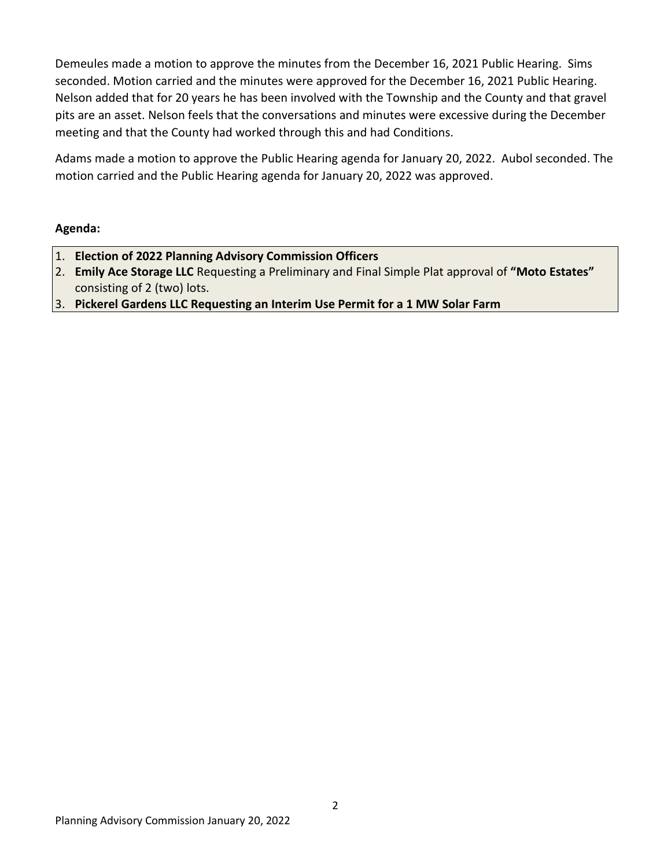Demeules made a motion to approve the minutes from the December 16, 2021 Public Hearing. Sims seconded. Motion carried and the minutes were approved for the December 16, 2021 Public Hearing. Nelson added that for 20 years he has been involved with the Township and the County and that gravel pits are an asset. Nelson feels that the conversations and minutes were excessive during the December meeting and that the County had worked through this and had Conditions.

Adams made a motion to approve the Public Hearing agenda for January 20, 2022. Aubol seconded. The motion carried and the Public Hearing agenda for January 20, 2022 was approved.

## **Agenda:**

- 1. **Election of 2022 Planning Advisory Commission Officers**
- 2. **Emily Ace Storage LLC** Requesting a Preliminary and Final Simple Plat approval of **"Moto Estates"**  consisting of 2 (two) lots.
- 3. **Pickerel Gardens LLC Requesting an Interim Use Permit for a 1 MW Solar Farm**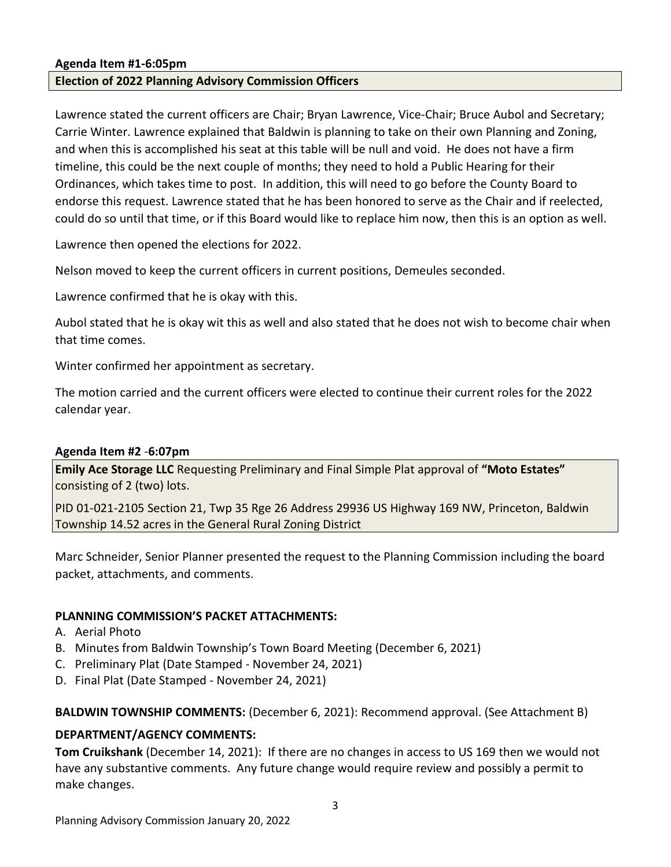#### **Agenda Item #1-6:05pm**

#### **Election of 2022 Planning Advisory Commission Officers**

Lawrence stated the current officers are Chair; Bryan Lawrence, Vice-Chair; Bruce Aubol and Secretary; Carrie Winter. Lawrence explained that Baldwin is planning to take on their own Planning and Zoning, and when this is accomplished his seat at this table will be null and void. He does not have a firm timeline, this could be the next couple of months; they need to hold a Public Hearing for their Ordinances, which takes time to post. In addition, this will need to go before the County Board to endorse this request. Lawrence stated that he has been honored to serve as the Chair and if reelected, could do so until that time, or if this Board would like to replace him now, then this is an option as well.

Lawrence then opened the elections for 2022.

Nelson moved to keep the current officers in current positions, Demeules seconded.

Lawrence confirmed that he is okay with this.

Aubol stated that he is okay wit this as well and also stated that he does not wish to become chair when that time comes.

Winter confirmed her appointment as secretary.

The motion carried and the current officers were elected to continue their current roles for the 2022 calendar year.

#### **Agenda Item #2** *-***6:07pm**

**Emily Ace Storage LLC** Requesting Preliminary and Final Simple Plat approval of **"Moto Estates"**  consisting of 2 (two) lots.

PID 01-021-2105 Section 21, Twp 35 Rge 26 Address 29936 US Highway 169 NW, Princeton, Baldwin Township 14.52 acres in the General Rural Zoning District

Marc Schneider, Senior Planner presented the request to the Planning Commission including the board packet, attachments, and comments.

#### **PLANNING COMMISSION'S PACKET ATTACHMENTS:**

- A. Aerial Photo
- B. Minutes from Baldwin Township's Town Board Meeting (December 6, 2021)
- C. Preliminary Plat (Date Stamped November 24, 2021)
- D. Final Plat (Date Stamped November 24, 2021)

#### **BALDWIN TOWNSHIP COMMENTS:** (December 6, 2021): Recommend approval. (See Attachment B)

#### **DEPARTMENT/AGENCY COMMENTS:**

**Tom Cruikshank** (December 14, 2021): If there are no changes in access to US 169 then we would not have any substantive comments. Any future change would require review and possibly a permit to make changes.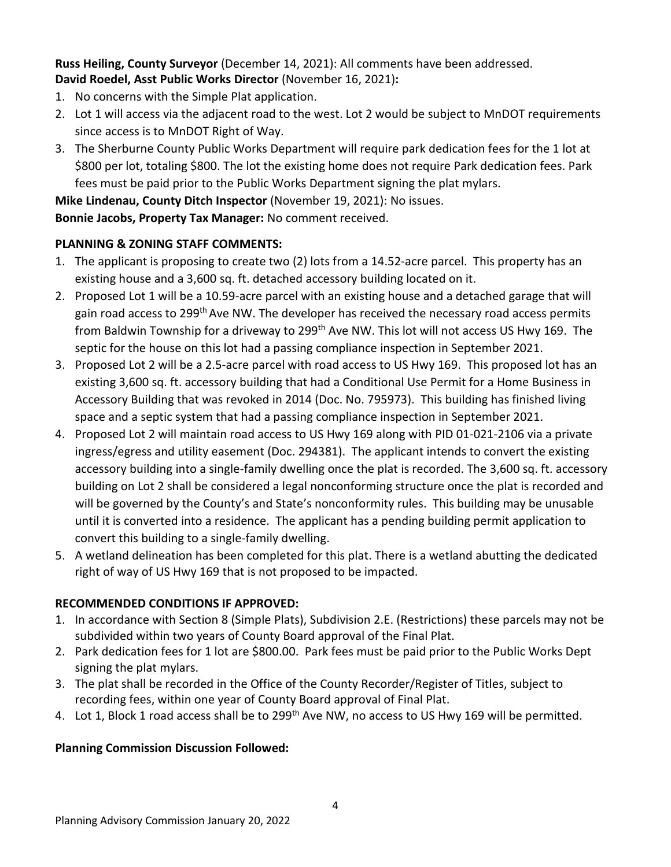**Russ Heiling, County Surveyor** (December 14, 2021): All comments have been addressed. **David Roedel, Asst Public Works Director** (November 16, 2021)**:** 

- 1. No concerns with the Simple Plat application.
- 2. Lot 1 will access via the adjacent road to the west. Lot 2 would be subject to MnDOT requirements since access is to MnDOT Right of Way.
- 3. The Sherburne County Public Works Department will require park dedication fees for the 1 lot at \$800 per lot, totaling \$800. The lot the existing home does not require Park dedication fees. Park fees must be paid prior to the Public Works Department signing the plat mylars.

**Mike Lindenau, County Ditch Inspector** (November 19, 2021): No issues.

**Bonnie Jacobs, Property Tax Manager:** No comment received.

# **PLANNING & ZONING STAFF COMMENTS:**

- 1. The applicant is proposing to create two (2) lots from a 14.52-acre parcel. This property has an existing house and a 3,600 sq. ft. detached accessory building located on it.
- 2. Proposed Lot 1 will be a 10.59-acre parcel with an existing house and a detached garage that will gain road access to 299<sup>th</sup> Ave NW. The developer has received the necessary road access permits from Baldwin Township for a driveway to 299<sup>th</sup> Ave NW. This lot will not access US Hwy 169. The septic for the house on this lot had a passing compliance inspection in September 2021.
- 3. Proposed Lot 2 will be a 2.5-acre parcel with road access to US Hwy 169. This proposed lot has an existing 3,600 sq. ft. accessory building that had a Conditional Use Permit for a Home Business in Accessory Building that was revoked in 2014 (Doc. No. 795973). This building has finished living space and a septic system that had a passing compliance inspection in September 2021.
- 4. Proposed Lot 2 will maintain road access to US Hwy 169 along with PID 01-021-2106 via a private ingress/egress and utility easement (Doc. 294381). The applicant intends to convert the existing accessory building into a single-family dwelling once the plat is recorded. The 3,600 sq. ft. accessory building on Lot 2 shall be considered a legal nonconforming structure once the plat is recorded and will be governed by the County's and State's nonconformity rules. This building may be unusable until it is converted into a residence. The applicant has a pending building permit application to convert this building to a single-family dwelling.
- 5. A wetland delineation has been completed for this plat. There is a wetland abutting the dedicated right of way of US Hwy 169 that is not proposed to be impacted.

# **RECOMMENDED CONDITIONS IF APPROVED:**

- 1. In accordance with Section 8 (Simple Plats), Subdivision 2.E. (Restrictions) these parcels may not be subdivided within two years of County Board approval of the Final Plat.
- 2. Park dedication fees for 1 lot are \$800.00. Park fees must be paid prior to the Public Works Dept signing the plat mylars.
- 3. The plat shall be recorded in the Office of the County Recorder/Register of Titles, subject to recording fees, within one year of County Board approval of Final Plat.
- 4. Lot 1, Block 1 road access shall be to 299<sup>th</sup> Ave NW, no access to US Hwy 169 will be permitted.

## **Planning Commission Discussion Followed:**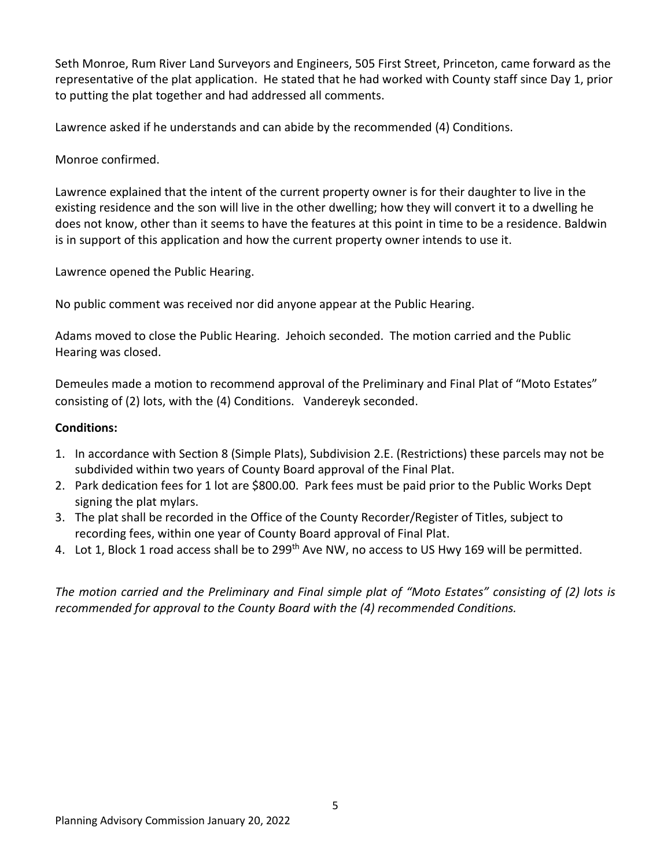Seth Monroe, Rum River Land Surveyors and Engineers, 505 First Street, Princeton, came forward as the representative of the plat application. He stated that he had worked with County staff since Day 1, prior to putting the plat together and had addressed all comments.

Lawrence asked if he understands and can abide by the recommended (4) Conditions.

## Monroe confirmed.

Lawrence explained that the intent of the current property owner is for their daughter to live in the existing residence and the son will live in the other dwelling; how they will convert it to a dwelling he does not know, other than it seems to have the features at this point in time to be a residence. Baldwin is in support of this application and how the current property owner intends to use it.

Lawrence opened the Public Hearing.

No public comment was received nor did anyone appear at the Public Hearing.

Adams moved to close the Public Hearing. Jehoich seconded. The motion carried and the Public Hearing was closed.

Demeules made a motion to recommend approval of the Preliminary and Final Plat of "Moto Estates" consisting of (2) lots, with the (4) Conditions. Vandereyk seconded.

## **Conditions:**

- 1. In accordance with Section 8 (Simple Plats), Subdivision 2.E. (Restrictions) these parcels may not be subdivided within two years of County Board approval of the Final Plat.
- 2. Park dedication fees for 1 lot are \$800.00. Park fees must be paid prior to the Public Works Dept signing the plat mylars.
- 3. The plat shall be recorded in the Office of the County Recorder/Register of Titles, subject to recording fees, within one year of County Board approval of Final Plat.
- 4. Lot 1, Block 1 road access shall be to 299<sup>th</sup> Ave NW, no access to US Hwy 169 will be permitted.

*The motion carried and the Preliminary and Final simple plat of "Moto Estates" consisting of (2) lots is recommended for approval to the County Board with the (4) recommended Conditions.*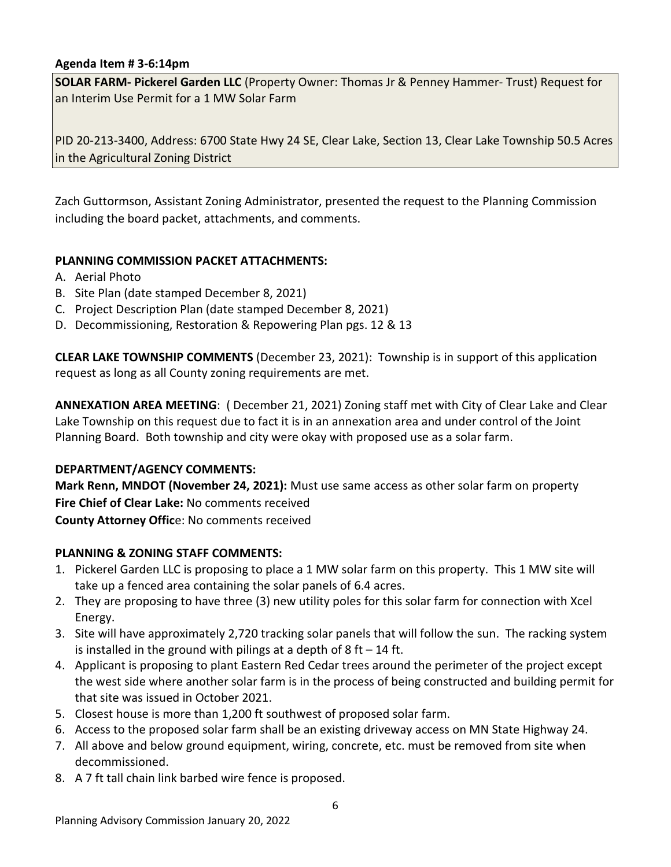## **Agenda Item # 3-6:14pm**

**SOLAR FARM- Pickerel Garden LLC** (Property Owner: Thomas Jr & Penney Hammer- Trust) Request for an Interim Use Permit for a 1 MW Solar Farm

PID 20-213-3400, Address: 6700 State Hwy 24 SE, Clear Lake, Section 13, Clear Lake Township 50.5 Acres in the Agricultural Zoning District

Zach Guttormson, Assistant Zoning Administrator, presented the request to the Planning Commission including the board packet, attachments, and comments.

#### **PLANNING COMMISSION PACKET ATTACHMENTS:**

- A. Aerial Photo
- B. Site Plan (date stamped December 8, 2021)
- C. Project Description Plan (date stamped December 8, 2021)
- D. Decommissioning, Restoration & Repowering Plan pgs. 12 & 13

**CLEAR LAKE TOWNSHIP COMMENTS** (December 23, 2021): Township is in support of this application request as long as all County zoning requirements are met.

**ANNEXATION AREA MEETING**: ( December 21, 2021) Zoning staff met with City of Clear Lake and Clear Lake Township on this request due to fact it is in an annexation area and under control of the Joint Planning Board. Both township and city were okay with proposed use as a solar farm.

#### **DEPARTMENT/AGENCY COMMENTS:**

**Mark Renn, MNDOT (November 24, 2021):** Must use same access as other solar farm on property **Fire Chief of Clear Lake:** No comments received

**County Attorney Offic**e: No comments received

## **PLANNING & ZONING STAFF COMMENTS:**

- 1. Pickerel Garden LLC is proposing to place a 1 MW solar farm on this property. This 1 MW site will take up a fenced area containing the solar panels of 6.4 acres.
- 2. They are proposing to have three (3) new utility poles for this solar farm for connection with Xcel Energy.
- 3. Site will have approximately 2,720 tracking solar panels that will follow the sun. The racking system is installed in the ground with pilings at a depth of  $8$  ft  $-14$  ft.
- 4. Applicant is proposing to plant Eastern Red Cedar trees around the perimeter of the project except the west side where another solar farm is in the process of being constructed and building permit for that site was issued in October 2021.
- 5. Closest house is more than 1,200 ft southwest of proposed solar farm.
- 6. Access to the proposed solar farm shall be an existing driveway access on MN State Highway 24.
- 7. All above and below ground equipment, wiring, concrete, etc. must be removed from site when decommissioned.
- 8. A 7 ft tall chain link barbed wire fence is proposed.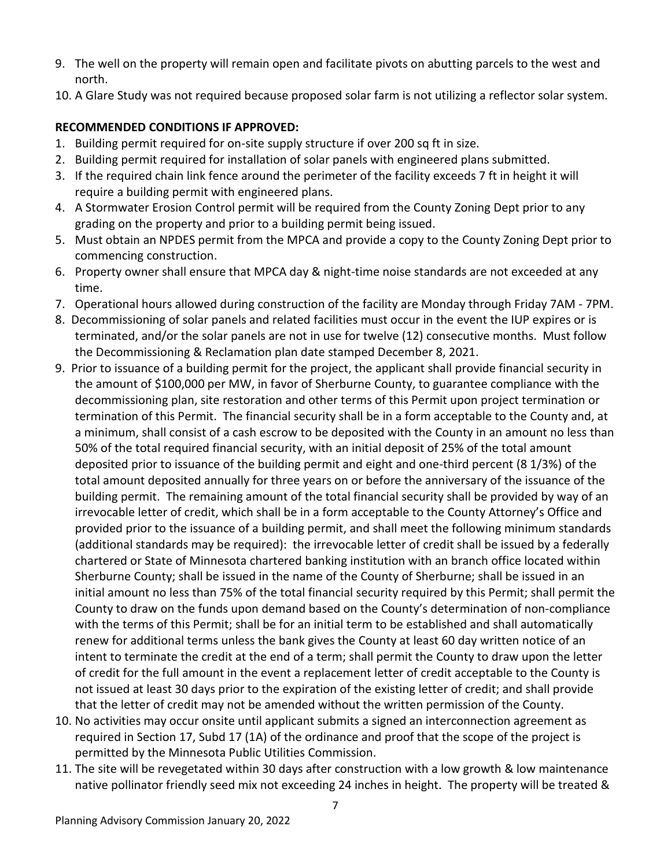- 9. The well on the property will remain open and facilitate pivots on abutting parcels to the west and north.
- 10. A Glare Study was not required because proposed solar farm is not utilizing a reflector solar system.

# **RECOMMENDED CONDITIONS IF APPROVED:**

- 1. Building permit required for on-site supply structure if over 200 sq ft in size.
- 2. Building permit required for installation of solar panels with engineered plans submitted.
- 3. If the required chain link fence around the perimeter of the facility exceeds 7 ft in height it will require a building permit with engineered plans.
- 4. A Stormwater Erosion Control permit will be required from the County Zoning Dept prior to any grading on the property and prior to a building permit being issued.
- 5. Must obtain an NPDES permit from the MPCA and provide a copy to the County Zoning Dept prior to commencing construction.
- 6. Property owner shall ensure that MPCA day & night-time noise standards are not exceeded at any time.
- 7. Operational hours allowed during construction of the facility are Monday through Friday 7AM 7PM.
- 8. Decommissioning of solar panels and related facilities must occur in the event the IUP expires or is terminated, and/or the solar panels are not in use for twelve (12) consecutive months. Must follow the Decommissioning & Reclamation plan date stamped December 8, 2021.
- 9. Prior to issuance of a building permit for the project, the applicant shall provide financial security in the amount of \$100,000 per MW, in favor of Sherburne County, to guarantee compliance with the decommissioning plan, site restoration and other terms of this Permit upon project termination or termination of this Permit. The financial security shall be in a form acceptable to the County and, at a minimum, shall consist of a cash escrow to be deposited with the County in an amount no less than 50% of the total required financial security, with an initial deposit of 25% of the total amount deposited prior to issuance of the building permit and eight and one-third percent (8 1/3%) of the total amount deposited annually for three years on or before the anniversary of the issuance of the building permit. The remaining amount of the total financial security shall be provided by way of an irrevocable letter of credit, which shall be in a form acceptable to the County Attorney's Office and provided prior to the issuance of a building permit, and shall meet the following minimum standards (additional standards may be required): the irrevocable letter of credit shall be issued by a federally chartered or State of Minnesota chartered banking institution with an branch office located within Sherburne County; shall be issued in the name of the County of Sherburne; shall be issued in an initial amount no less than 75% of the total financial security required by this Permit; shall permit the County to draw on the funds upon demand based on the County's determination of non-compliance with the terms of this Permit; shall be for an initial term to be established and shall automatically renew for additional terms unless the bank gives the County at least 60 day written notice of an intent to terminate the credit at the end of a term; shall permit the County to draw upon the letter of credit for the full amount in the event a replacement letter of credit acceptable to the County is not issued at least 30 days prior to the expiration of the existing letter of credit; and shall provide that the letter of credit may not be amended without the written permission of the County.
- 10. No activities may occur onsite until applicant submits a signed an interconnection agreement as required in Section 17, Subd 17 (1A) of the ordinance and proof that the scope of the project is permitted by the Minnesota Public Utilities Commission.
- 11. The site will be revegetated within 30 days after construction with a low growth & low maintenance native pollinator friendly seed mix not exceeding 24 inches in height. The property will be treated &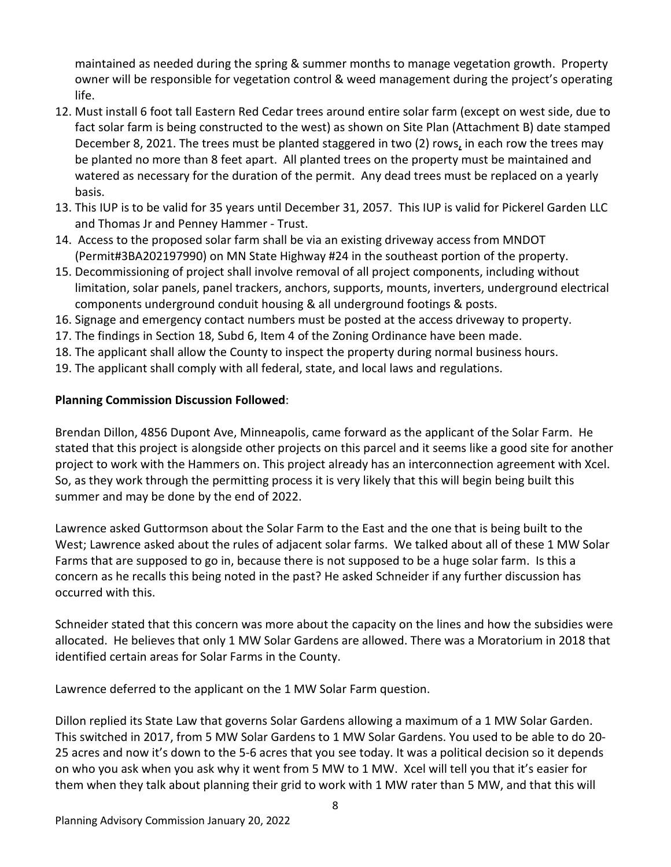maintained as needed during the spring & summer months to manage vegetation growth. Property owner will be responsible for vegetation control & weed management during the project's operating life.

- 12. Must install 6 foot tall Eastern Red Cedar trees around entire solar farm (except on west side, due to fact solar farm is being constructed to the west) as shown on Site Plan (Attachment B) date stamped December 8, 2021. The trees must be planted staggered in two (2) rows, in each row the trees may be planted no more than 8 feet apart. All planted trees on the property must be maintained and watered as necessary for the duration of the permit. Any dead trees must be replaced on a yearly basis.
- 13. This IUP is to be valid for 35 years until December 31, 2057. This IUP is valid for Pickerel Garden LLC and Thomas Jr and Penney Hammer - Trust.
- 14. Access to the proposed solar farm shall be via an existing driveway access from MNDOT (Permit#3BA202197990) on MN State Highway #24 in the southeast portion of the property.
- 15. Decommissioning of project shall involve removal of all project components, including without limitation, solar panels, panel trackers, anchors, supports, mounts, inverters, underground electrical components underground conduit housing & all underground footings & posts.
- 16. Signage and emergency contact numbers must be posted at the access driveway to property.
- 17. The findings in Section 18, Subd 6, Item 4 of the Zoning Ordinance have been made.
- 18. The applicant shall allow the County to inspect the property during normal business hours.
- 19. The applicant shall comply with all federal, state, and local laws and regulations.

# **Planning Commission Discussion Followed**:

Brendan Dillon, 4856 Dupont Ave, Minneapolis, came forward as the applicant of the Solar Farm. He stated that this project is alongside other projects on this parcel and it seems like a good site for another project to work with the Hammers on. This project already has an interconnection agreement with Xcel. So, as they work through the permitting process it is very likely that this will begin being built this summer and may be done by the end of 2022.

Lawrence asked Guttormson about the Solar Farm to the East and the one that is being built to the West; Lawrence asked about the rules of adjacent solar farms. We talked about all of these 1 MW Solar Farms that are supposed to go in, because there is not supposed to be a huge solar farm. Is this a concern as he recalls this being noted in the past? He asked Schneider if any further discussion has occurred with this.

Schneider stated that this concern was more about the capacity on the lines and how the subsidies were allocated. He believes that only 1 MW Solar Gardens are allowed. There was a Moratorium in 2018 that identified certain areas for Solar Farms in the County.

Lawrence deferred to the applicant on the 1 MW Solar Farm question.

Dillon replied its State Law that governs Solar Gardens allowing a maximum of a 1 MW Solar Garden. This switched in 2017, from 5 MW Solar Gardens to 1 MW Solar Gardens. You used to be able to do 20- 25 acres and now it's down to the 5-6 acres that you see today. It was a political decision so it depends on who you ask when you ask why it went from 5 MW to 1 MW. Xcel will tell you that it's easier for them when they talk about planning their grid to work with 1 MW rater than 5 MW, and that this will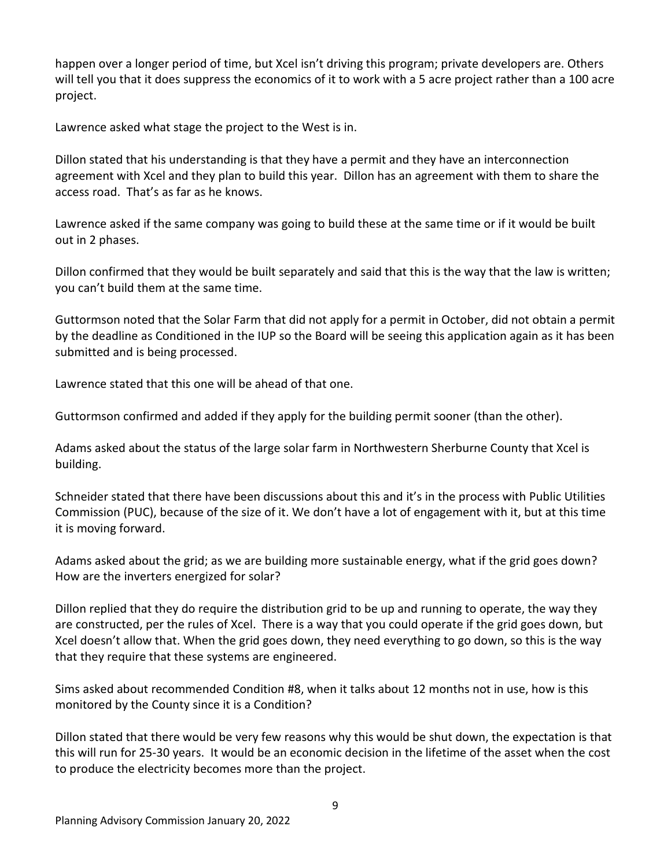happen over a longer period of time, but Xcel isn't driving this program; private developers are. Others will tell you that it does suppress the economics of it to work with a 5 acre project rather than a 100 acre project.

Lawrence asked what stage the project to the West is in.

Dillon stated that his understanding is that they have a permit and they have an interconnection agreement with Xcel and they plan to build this year. Dillon has an agreement with them to share the access road. That's as far as he knows.

Lawrence asked if the same company was going to build these at the same time or if it would be built out in 2 phases.

Dillon confirmed that they would be built separately and said that this is the way that the law is written; you can't build them at the same time.

Guttormson noted that the Solar Farm that did not apply for a permit in October, did not obtain a permit by the deadline as Conditioned in the IUP so the Board will be seeing this application again as it has been submitted and is being processed.

Lawrence stated that this one will be ahead of that one.

Guttormson confirmed and added if they apply for the building permit sooner (than the other).

Adams asked about the status of the large solar farm in Northwestern Sherburne County that Xcel is building.

Schneider stated that there have been discussions about this and it's in the process with Public Utilities Commission (PUC), because of the size of it. We don't have a lot of engagement with it, but at this time it is moving forward.

Adams asked about the grid; as we are building more sustainable energy, what if the grid goes down? How are the inverters energized for solar?

Dillon replied that they do require the distribution grid to be up and running to operate, the way they are constructed, per the rules of Xcel. There is a way that you could operate if the grid goes down, but Xcel doesn't allow that. When the grid goes down, they need everything to go down, so this is the way that they require that these systems are engineered.

Sims asked about recommended Condition #8, when it talks about 12 months not in use, how is this monitored by the County since it is a Condition?

Dillon stated that there would be very few reasons why this would be shut down, the expectation is that this will run for 25-30 years. It would be an economic decision in the lifetime of the asset when the cost to produce the electricity becomes more than the project.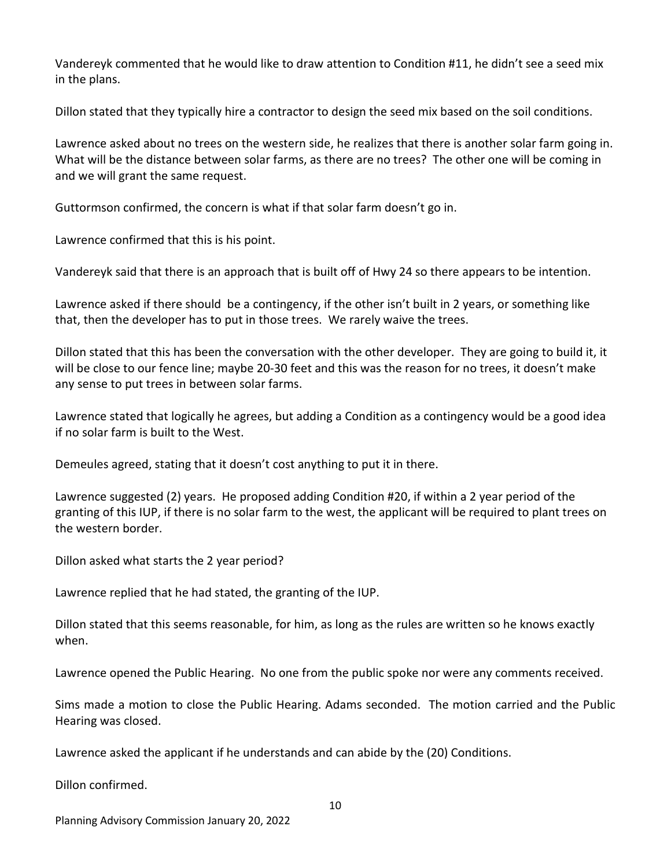Vandereyk commented that he would like to draw attention to Condition #11, he didn't see a seed mix in the plans.

Dillon stated that they typically hire a contractor to design the seed mix based on the soil conditions.

Lawrence asked about no trees on the western side, he realizes that there is another solar farm going in. What will be the distance between solar farms, as there are no trees? The other one will be coming in and we will grant the same request.

Guttormson confirmed, the concern is what if that solar farm doesn't go in.

Lawrence confirmed that this is his point.

Vandereyk said that there is an approach that is built off of Hwy 24 so there appears to be intention.

Lawrence asked if there should be a contingency, if the other isn't built in 2 years, or something like that, then the developer has to put in those trees. We rarely waive the trees.

Dillon stated that this has been the conversation with the other developer. They are going to build it, it will be close to our fence line; maybe 20-30 feet and this was the reason for no trees, it doesn't make any sense to put trees in between solar farms.

Lawrence stated that logically he agrees, but adding a Condition as a contingency would be a good idea if no solar farm is built to the West.

Demeules agreed, stating that it doesn't cost anything to put it in there.

Lawrence suggested (2) years. He proposed adding Condition #20, if within a 2 year period of the granting of this IUP, if there is no solar farm to the west, the applicant will be required to plant trees on the western border.

Dillon asked what starts the 2 year period?

Lawrence replied that he had stated, the granting of the IUP.

Dillon stated that this seems reasonable, for him, as long as the rules are written so he knows exactly when.

Lawrence opened the Public Hearing. No one from the public spoke nor were any comments received.

Sims made a motion to close the Public Hearing. Adams seconded. The motion carried and the Public Hearing was closed.

Lawrence asked the applicant if he understands and can abide by the (20) Conditions.

Dillon confirmed.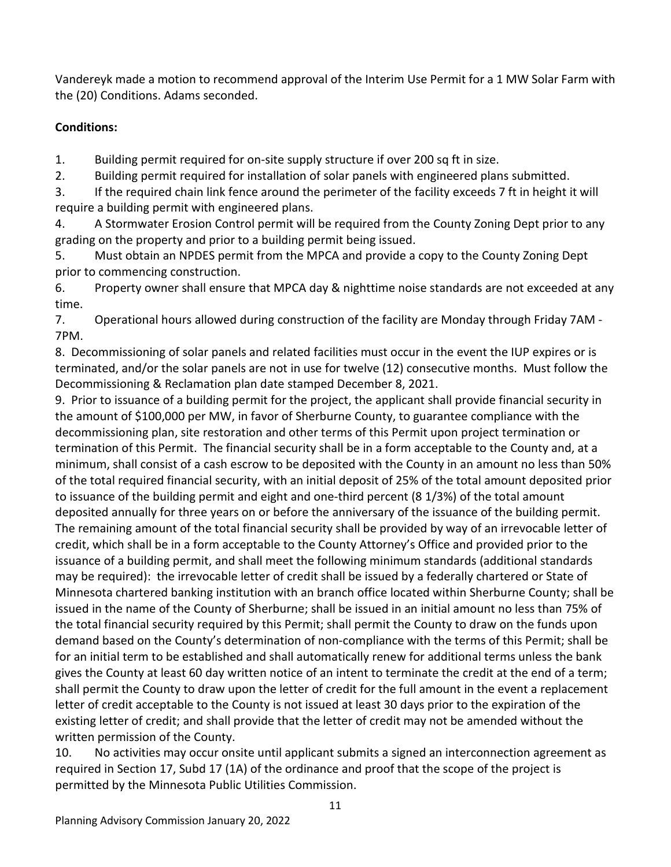Vandereyk made a motion to recommend approval of the Interim Use Permit for a 1 MW Solar Farm with the (20) Conditions. Adams seconded.

# **Conditions:**

1. Building permit required for on-site supply structure if over 200 sq ft in size.

2. Building permit required for installation of solar panels with engineered plans submitted.

3. If the required chain link fence around the perimeter of the facility exceeds 7 ft in height it will require a building permit with engineered plans.

4. A Stormwater Erosion Control permit will be required from the County Zoning Dept prior to any grading on the property and prior to a building permit being issued.

5. Must obtain an NPDES permit from the MPCA and provide a copy to the County Zoning Dept prior to commencing construction.

6. Property owner shall ensure that MPCA day & nighttime noise standards are not exceeded at any time.

7. Operational hours allowed during construction of the facility are Monday through Friday 7AM - 7PM.

8. Decommissioning of solar panels and related facilities must occur in the event the IUP expires or is terminated, and/or the solar panels are not in use for twelve (12) consecutive months. Must follow the Decommissioning & Reclamation plan date stamped December 8, 2021.

9. Prior to issuance of a building permit for the project, the applicant shall provide financial security in the amount of \$100,000 per MW, in favor of Sherburne County, to guarantee compliance with the decommissioning plan, site restoration and other terms of this Permit upon project termination or termination of this Permit. The financial security shall be in a form acceptable to the County and, at a minimum, shall consist of a cash escrow to be deposited with the County in an amount no less than 50% of the total required financial security, with an initial deposit of 25% of the total amount deposited prior to issuance of the building permit and eight and one-third percent (8 1/3%) of the total amount deposited annually for three years on or before the anniversary of the issuance of the building permit. The remaining amount of the total financial security shall be provided by way of an irrevocable letter of credit, which shall be in a form acceptable to the County Attorney's Office and provided prior to the issuance of a building permit, and shall meet the following minimum standards (additional standards may be required): the irrevocable letter of credit shall be issued by a federally chartered or State of Minnesota chartered banking institution with an branch office located within Sherburne County; shall be issued in the name of the County of Sherburne; shall be issued in an initial amount no less than 75% of the total financial security required by this Permit; shall permit the County to draw on the funds upon demand based on the County's determination of non-compliance with the terms of this Permit; shall be for an initial term to be established and shall automatically renew for additional terms unless the bank gives the County at least 60 day written notice of an intent to terminate the credit at the end of a term; shall permit the County to draw upon the letter of credit for the full amount in the event a replacement letter of credit acceptable to the County is not issued at least 30 days prior to the expiration of the existing letter of credit; and shall provide that the letter of credit may not be amended without the written permission of the County.

10. No activities may occur onsite until applicant submits a signed an interconnection agreement as required in Section 17, Subd 17 (1A) of the ordinance and proof that the scope of the project is permitted by the Minnesota Public Utilities Commission.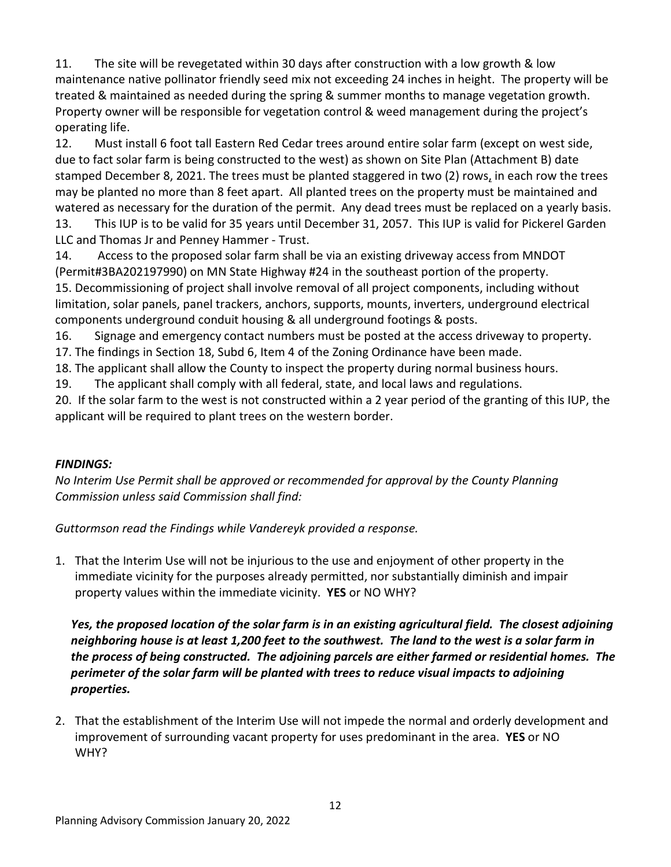11. The site will be revegetated within 30 days after construction with a low growth & low maintenance native pollinator friendly seed mix not exceeding 24 inches in height. The property will be treated & maintained as needed during the spring & summer months to manage vegetation growth. Property owner will be responsible for vegetation control & weed management during the project's operating life.

12. Must install 6 foot tall Eastern Red Cedar trees around entire solar farm (except on west side, due to fact solar farm is being constructed to the west) as shown on Site Plan (Attachment B) date stamped December 8, 2021. The trees must be planted staggered in two (2) rows, in each row the trees may be planted no more than 8 feet apart. All planted trees on the property must be maintained and watered as necessary for the duration of the permit. Any dead trees must be replaced on a yearly basis. 13. This IUP is to be valid for 35 years until December 31, 2057. This IUP is valid for Pickerel Garden

LLC and Thomas Jr and Penney Hammer - Trust.

14. Access to the proposed solar farm shall be via an existing driveway access from MNDOT (Permit#3BA202197990) on MN State Highway #24 in the southeast portion of the property. 15. Decommissioning of project shall involve removal of all project components, including without limitation, solar panels, panel trackers, anchors, supports, mounts, inverters, underground electrical components underground conduit housing & all underground footings & posts.

16. Signage and emergency contact numbers must be posted at the access driveway to property.

17. The findings in Section 18, Subd 6, Item 4 of the Zoning Ordinance have been made.

18. The applicant shall allow the County to inspect the property during normal business hours.

19. The applicant shall comply with all federal, state, and local laws and regulations.

20. If the solar farm to the west is not constructed within a 2 year period of the granting of this IUP, the applicant will be required to plant trees on the western border.

# *FINDINGS:*

*No Interim Use Permit shall be approved or recommended for approval by the County Planning Commission unless said Commission shall find:*

*Guttormson read the Findings while Vandereyk provided a response.*

1. That the Interim Use will not be injurious to the use and enjoyment of other property in the immediate vicinity for the purposes already permitted, nor substantially diminish and impair property values within the immediate vicinity. **YES** or NO WHY?

*Yes, the proposed location of the solar farm is in an existing agricultural field. The closest adjoining neighboring house is at least 1,200 feet to the southwest. The land to the west is a solar farm in the process of being constructed. The adjoining parcels are either farmed or residential homes. The perimeter of the solar farm will be planted with trees to reduce visual impacts to adjoining properties.* 

2. That the establishment of the Interim Use will not impede the normal and orderly development and improvement of surrounding vacant property for uses predominant in the area. **YES** or NO WHY?